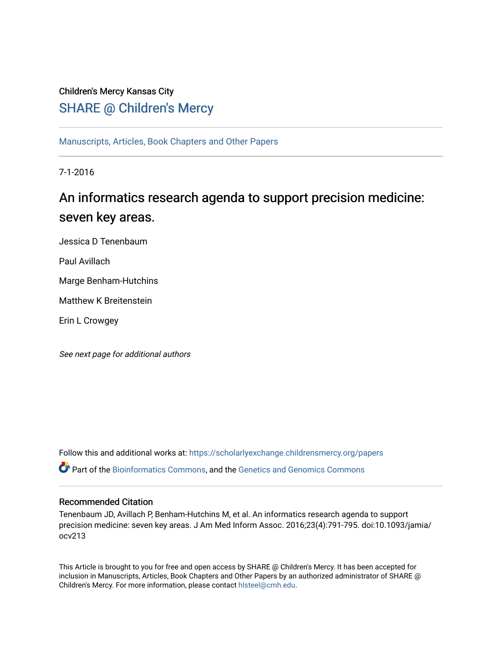## Children's Mercy Kansas City **SHARE @ Children's Mercy**

[Manuscripts, Articles, Book Chapters and Other Papers](https://scholarlyexchange.childrensmercy.org/papers)

7-1-2016

# An informatics research agenda to support precision medicine: seven key areas.

Jessica D Tenenbaum Paul Avillach

Marge Benham-Hutchins

Matthew K Breitenstein

Erin L Crowgey

See next page for additional authors

Follow this and additional works at: [https://scholarlyexchange.childrensmercy.org/papers](https://scholarlyexchange.childrensmercy.org/papers?utm_source=scholarlyexchange.childrensmercy.org%2Fpapers%2F16&utm_medium=PDF&utm_campaign=PDFCoverPages)  **C** Part of the [Bioinformatics Commons,](http://network.bepress.com/hgg/discipline/110?utm_source=scholarlyexchange.childrensmercy.org%2Fpapers%2F16&utm_medium=PDF&utm_campaign=PDFCoverPages) and the [Genetics and Genomics Commons](http://network.bepress.com/hgg/discipline/27?utm_source=scholarlyexchange.childrensmercy.org%2Fpapers%2F16&utm_medium=PDF&utm_campaign=PDFCoverPages)

## Recommended Citation

Tenenbaum JD, Avillach P, Benham-Hutchins M, et al. An informatics research agenda to support precision medicine: seven key areas. J Am Med Inform Assoc. 2016;23(4):791-795. doi:10.1093/jamia/ ocv213

This Article is brought to you for free and open access by SHARE @ Children's Mercy. It has been accepted for inclusion in Manuscripts, Articles, Book Chapters and Other Papers by an authorized administrator of SHARE @ Children's Mercy. For more information, please contact [hlsteel@cmh.edu](mailto:hlsteel@cmh.edu).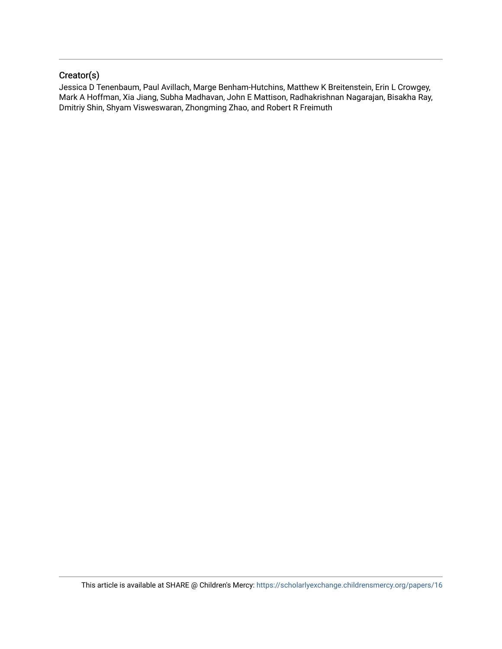## Creator(s)

Jessica D Tenenbaum, Paul Avillach, Marge Benham-Hutchins, Matthew K Breitenstein, Erin L Crowgey, Mark A Hoffman, Xia Jiang, Subha Madhavan, John E Mattison, Radhakrishnan Nagarajan, Bisakha Ray, Dmitriy Shin, Shyam Visweswaran, Zhongming Zhao, and Robert R Freimuth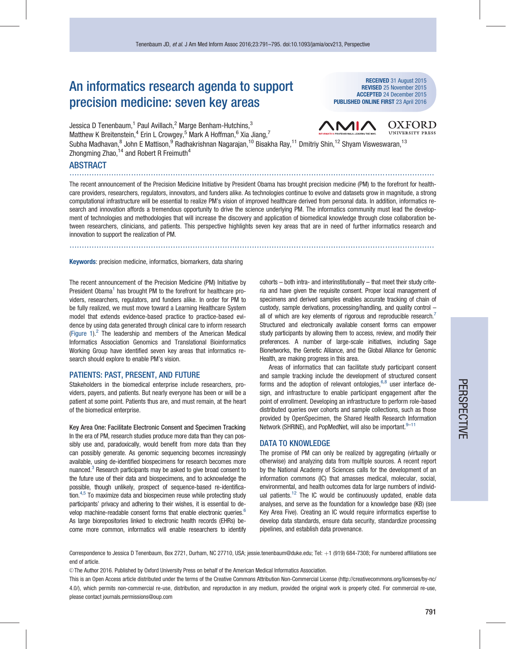# An informatics research agenda to support precision medicine: seven key areas

Jessica D Tenenbaum,<sup>1</sup> Paul Avillach,<sup>2</sup> Marge Benham-Hutchins,<sup>3</sup> Matthew K Breitenstein,<sup>4</sup> Erin L Crowgey,<sup>5</sup> Mark A Hoffman,<sup>6</sup> Xia Jiang,<sup>7</sup> Subha Madhavan,<sup>8</sup> John E Mattison,<sup>9</sup> Radhakrishnan Nagarajan,<sup>10</sup> Bisakha Ray,<sup>11</sup> Dmitriy Shin,<sup>12</sup> Shyam Visweswaran,<sup>13</sup>

 $Z$ hongming  $Z$ hao,  $14$  and Robert R Freimuth $4$ 

## ABSTRACT ....................................................................................................................................................

The recent announcement of the Precision Medicine Initiative by President Obama has brought precision medicine (PM) to the forefront for healthcare providers, researchers, regulators, innovators, and funders alike. As technologies continue to evolve and datasets grow in magnitude, a strong computational infrastructure will be essential to realize PM's vision of improved healthcare derived from personal data. In addition, informatics research and innovation affords a tremendous opportunity to drive the science underlying PM. The informatics community must lead the development of technologies and methodologies that will increase the discovery and application of biomedical knowledge through close collaboration between researchers, clinicians, and patients. This perspective highlights seven key areas that are in need of further informatics research and innovation to support the realization of PM.

....................................................................................................................................................

Keywords: precision medicine, informatics, biomarkers, data sharing

The recent announcement of the Precision Medicine (PM) Initiative by President Obama<sup>1</sup> has brought PM to the forefront for healthcare providers, researchers, regulators, and funders alike. In order for PM to be fully realized, we must move toward a Learning Healthcare System model that extends evidence-based practice to practice-based evidence by using data generated through clinical care to inform research [\(Figure 1\)](#page-3-0). $<sup>2</sup>$  $<sup>2</sup>$  $<sup>2</sup>$  The leadership and members of the American Medical</sup> Informatics Association Genomics and Translational Bioinformatics Working Group have identified seven key areas that informatics research should explore to enable PM's vision.

## PATIENTS: PAST, PRESENT, AND FUTURE

Stakeholders in the biomedical enterprise include researchers, providers, payers, and patients. But nearly everyone has been or will be a patient at some point. Patients thus are, and must remain, at the heart of the biomedical enterprise.

Key Area One: Facilitate Electronic Consent and Specimen Tracking In the era of PM, research studies produce more data than they can possibly use and, paradoxically, would benefit from more data than they can possibly generate. As genomic sequencing becomes increasingly available, using de-identified biospecimens for research becomes more nuanced[.3](#page-5-0) Research participants may be asked to give broad consent to the future use of their data and biospecimens, and to acknowledge the possible, though unlikely, prospect of sequence-based re-identification.[4,5](#page-5-0) To maximize data and biospecimen reuse while protecting study participants' privacy and adhering to their wishes, it is essential to de-velop machine-readable consent forms that enable electronic queries.<sup>[6](#page-5-0)</sup> As large biorepositories linked to electronic health records (EHRs) become more common, informatics will enable researchers to identify cohorts – both intra- and interinstitutionally – that meet their study criteria and have given the requisite consent. Proper local management of specimens and derived samples enables accurate tracking of chain of custody, sample derivations, processing/handling, and quality control – all of which are key elements of rigorous and reproducible research.<sup>[7](#page-5-0)</sup> Structured and electronically available consent forms can empower study participants by allowing them to access, review, and modify their preferences. A number of large-scale initiatives, including Sage Bionetworks, the Genetic Alliance, and the Global Alliance for Genomic Health, are making progress in this area.

RECEIVED 31 August 2015 REVISED 25 November 2015 ACCEPTED 24 December 2015 PUBLISHED ONLINE FIRST 23 April 2016

> OXFORD **IINIVERSITY PRESS**

Areas of informatics that can facilitate study participant consent and sample tracking include the development of structured consent forms and the adoption of relevant ontologies,  $6,8$  $6,8$  $6,8$  user interface design, and infrastructure to enable participant engagement after the point of enrollment. Developing an infrastructure to perform role-based distributed queries over cohorts and sample collections, such as those provided by OpenSpecimen, the Shared Health Research Information Network (SHRINE), and PopMedNet, will also be important.  $9-11$ 

## DATA TO KNOWLEDGE

The promise of PM can only be realized by aggregating (virtually or otherwise) and analyzing data from multiple sources. A recent report by the National Academy of Sciences calls for the development of an information commons (IC) that amasses medical, molecular, social, environmental, and health outcomes data for large numbers of individ-ual patients.<sup>[12](#page-5-0)</sup> The IC would be continuously updated, enable data analyses, and serve as the foundation for a knowledge base (KB) (see Key Area Five). Creating an IC would require informatics expertise to develop data standards, ensure data security, standardize processing pipelines, and establish data provenance.

Correspondence to Jessica D Tenenbaum, Box 2721, Durham, NC 27710, USA; jessie.tenenbaum@duke.edu; Tel: +1 (919) 684-7308; For numbered affiliations see end of article.

V<sup>C</sup> The Author 2016. Published by Oxford University Press on behalf of the American Medical Informatics Association.

This is an Open Access article distributed under the terms of the Creative Commons Attribution Non-Commercial License (http://creativecommons.org/licenses/by-nc/ 4.0/), which permits non-commercial re-use, distribution, and reproduction in any medium, provided the original work is properly cited. For commercial re-use, please contact journals.permissions@oup.com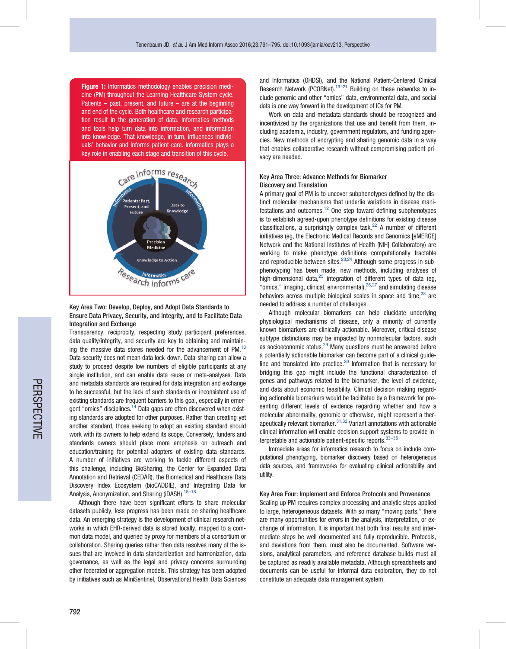<span id="page-3-0"></span>Figure 1: Informatics methodology enables precision medicine (PM) throughout the Learning Healthcare System cycle. Patients – past, present, and future – are at the beginning and end of the cycle. Both healthcare and research participation result in the generation of data. Informatics methods and tools help turn data into information, and information into knowledge. That knowledge, in turn, influences individuals' behavior and informs patient care. Informatics plays a key role in enabling each stage and transition of this cycle.



## Key Area Two: Develop, Deploy, and Adopt Data Standards to Ensure Data Privacy, Security, and Integrity, and to Facilitate Data Integration and Exchange

Transparency, reciprocity, respecting study participant preferences, data quality/integrity, and security are key to obtaining and maintaining the massive data stores needed for the advancement of  $PM<sup>13</sup>$  $PM<sup>13</sup>$  $PM<sup>13</sup>$ Data security does not mean data lock-down. Data-sharing can allow a study to proceed despite low numbers of eligible participants at any single institution, and can enable data reuse or meta-analyses. Data and metadata standards are required for data integration and exchange to be successful, but the lack of such standards or inconsistent use of existing standards are frequent barriers to this goal, especially in emergent "omics" disciplines.<sup>14</sup> Data gaps are often discovered when existing standards are adopted for other purposes. Rather than creating yet another standard, those seeking to adopt an existing standard should work with its owners to help extend its scope. Conversely, funders and standards owners should place more emphasis on outreach and education/training for potential adopters of existing data standards. A number of initiatives are working to tackle different aspects of this challenge, including BioSharing, the Center for Expanded Data Annotation and Retrieval (CEDAR), the Biomedical and Healthcare Data Discovery Index Ecosystem (bioCADDIE), and Integrating Data for Analysis, Anonymization, and Sharing (iDASH).<sup>15–[18](#page-5-0)</sup>

Although there have been significant efforts to share molecular datasets publicly, less progress has been made on sharing healthcare data. An emerging strategy is the development of clinical research networks in which EHR-derived data is stored locally, mapped to a common data model, and queried by proxy for members of a consortium or collaboration. Sharing queries rather than data resolves many of the issues that are involved in data standardization and harmonization, data governance, as well as the legal and privacy concerns surrounding other federated or aggregation models. This strategy has been adopted by initiatives such as MiniSentinel, Observational Health Data Sciences and Informatics (OHDSI), and the National Patient-Centered Clinical Research Network (PCORNet).<sup>19–[21](#page-5-0)</sup> Building on these networks to include genomic and other "omics" data, environmental data, and social data is one way forward in the development of ICs for PM.

Work on data and metadata standards should be recognized and incentivized by the organizations that use and benefit from them, including academia, industry, government regulators, and funding agencies. New methods of encrypting and sharing genomic data in a way that enables collaborative research without compromising patient privacy are needed.

### Key Area Three: Advance Methods for Biomarker Discovery and Translation

A primary goal of PM is to uncover subphenotypes defined by the distinct molecular mechanisms that underlie variations in disease mani-festations and outcomes.<sup>[12](#page-5-0)</sup> One step toward defining subphenotypes is to establish agreed-upon phenotype definitions for existing disease classifications, a surprisingly complex task. $^{22}$  $^{22}$  $^{22}$  A number of different initiatives (eg, the Electronic Medical Records and Genomics [eMERGE] Network and the National Institutes of Health [NIH] Collaboratory) are working to make phenotype definitions computationally tractable and reproducible between sites. $23,24$  $23,24$  $23,24$  Although some progress in subphenotyping has been made, new methods, including analyses of high-dimensional data,  $25$  integration of different types of data (eg, "omics," imaging, clinical, environmental), <sup>[26,27](#page-5-0)</sup> and simulating disease behaviors across multiple biological scales in space and time,  $28$  are needed to address a number of challenges.

Although molecular biomarkers can help elucidate underlying physiological mechanisms of disease, only a minority of currently known biomarkers are clinically actionable. Moreover, critical disease subtype distinctions may be impacted by nonmolecular factors, such as socioeconomic status.<sup>[29](#page-5-0)</sup> Many questions must be answered before a potentially actionable biomarker can become part of a clinical guideline and translated into practice. $30$  Information that is necessary for bridging this gap might include the functional characterization of genes and pathways related to the biomarker, the level of evidence, and data about economic feasibility. Clinical decision making regarding actionable biomarkers would be facilitated by a framework for presenting different levels of evidence regarding whether and how a molecular abnormality, genomic or otherwise, might represent a therapeutically relevant biomarker. $31,32$  Variant annotations with actionable clinical information will enable decision support systems to provide interpretable and actionable patient-specific reports.  $33-35$ 

Immediate areas for informatics research to focus on include computational phenotyping, biomarker discovery based on heterogeneous data sources, and frameworks for evaluating clinical actionability and utility.

#### Key Area Four: Implement and Enforce Protocols and Provenance

Scaling up PM requires complex processing and analytic steps applied to large, heterogeneous datasets. With so many "moving parts," there are many opportunities for errors in the analysis, interpretation, or exchange of information. It is important that both final results and intermediate steps be well documented and fully reproducible. Protocols, and deviations from them, must also be documented. Software versions, analytical parameters, and reference database builds must all be captured as readily available metadata. Although spreadsheets and documents can be useful for informal data exploration, they do not constitute an adequate data management system.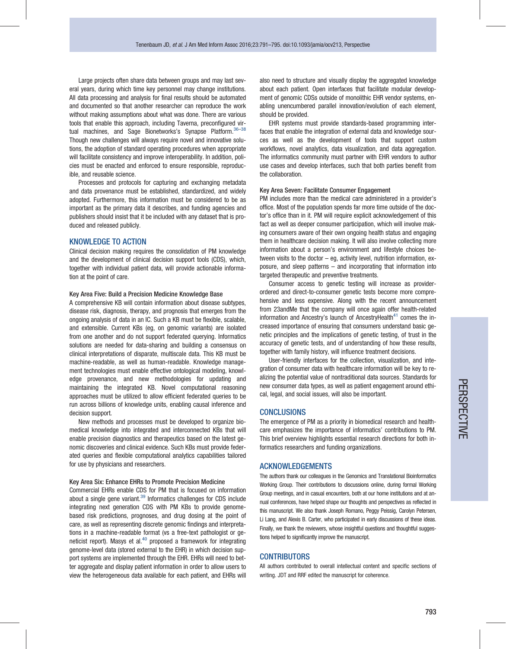Large projects often share data between groups and may last several years, during which time key personnel may change institutions. All data processing and analysis for final results should be automated and documented so that another researcher can reproduce the work without making assumptions about what was done. There are various tools that enable this approach, including Taverna, preconfigured virtual machines, and Sage Bionetworks's Synapse Platform. 36-38 Though new challenges will always require novel and innovative solutions, the adoption of standard operating procedures when appropriate will facilitate consistency and improve interoperability. In addition, policies must be enacted and enforced to ensure responsible, reproducible, and reusable science.

Processes and protocols for capturing and exchanging metadata and data provenance must be established, standardized, and widely adopted. Furthermore, this information must be considered to be as important as the primary data it describes, and funding agencies and publishers should insist that it be included with any dataset that is produced and released publicly.

## KNOWLEDGE TO ACTION

Clinical decision making requires the consolidation of PM knowledge and the development of clinical decision support tools (CDS), which, together with individual patient data, will provide actionable information at the point of care.

#### Key Area Five: Build a Precision Medicine Knowledge Base

A comprehensive KB will contain information about disease subtypes, disease risk, diagnosis, therapy, and prognosis that emerges from the ongoing analysis of data in an IC. Such a KB must be flexible, scalable, and extensible. Current KBs (eg, on genomic variants) are isolated from one another and do not support federated querying. Informatics solutions are needed for data-sharing and building a consensus on clinical interpretations of disparate, multiscale data. This KB must be machine-readable, as well as human-readable. Knowledge management technologies must enable effective ontological modeling, knowledge provenance, and new methodologies for updating and maintaining the integrated KB. Novel computational reasoning approaches must be utilized to allow efficient federated queries to be run across billions of knowledge units, enabling causal inference and decision support.

New methods and processes must be developed to organize biomedical knowledge into integrated and interconnected KBs that will enable precision diagnostics and therapeutics based on the latest genomic discoveries and clinical evidence. Such KBs must provide federated queries and flexible computational analytics capabilities tailored for use by physicians and researchers.

### Key Area Six: Enhance EHRs to Promote Precision Medicine

Commercial EHRs enable CDS for PM that is focused on information about a single gene variant. $39$  Informatics challenges for CDS include integrating next generation CDS with PM KBs to provide genomebased risk predictions, prognoses, and drug dosing at the point of care, as well as representing discrete genomic findings and interpretations in a machine-readable format (vs a free-text pathologist or geneticist report). Masys et al. $40$  proposed a framework for integrating genome-level data (stored external to the EHR) in which decision support systems are implemented through the EHR. EHRs will need to better aggregate and display patient information in order to allow users to view the heterogeneous data available for each patient, and EHRs will also need to structure and visually display the aggregated knowledge about each patient. Open interfaces that facilitate modular development of genomic CDSs outside of monolithic EHR vendor systems, enabling unencumbered parallel innovation/evolution of each element, should be provided.

EHR systems must provide standards-based programming interfaces that enable the integration of external data and knowledge sources as well as the development of tools that support custom workflows, novel analytics, data visualization, and data aggregation. The informatics community must partner with EHR vendors to author use cases and develop interfaces, such that both parties benefit from the collaboration.

#### Key Area Seven: Facilitate Consumer Engagement

PM includes more than the medical care administered in a provider's office. Most of the population spends far more time outside of the doctor's office than in it. PM will require explicit acknowledgement of this fact as well as deeper consumer participation, which will involve making consumers aware of their own ongoing health status and engaging them in healthcare decision making. It will also involve collecting more information about a person's environment and lifestyle choices between visits to the doctor – eg, activity level, nutrition information, exposure, and sleep patterns – and incorporating that information into targeted therapeutic and preventive treatments.

Consumer access to genetic testing will increase as providerordered and direct-to-consumer genetic tests become more comprehensive and less expensive. Along with the recent announcement from 23andMe that the company will once again offer health-related information and Ancestry's launch of AncestryHealth $41$  comes the increased importance of ensuring that consumers understand basic genetic principles and the implications of genetic testing, of trust in the accuracy of genetic tests, and of understanding of how these results, together with family history, will influence treatment decisions.

User-friendly interfaces for the collection, visualization, and integration of consumer data with healthcare information will be key to realizing the potential value of nontraditional data sources. Standards for new consumer data types, as well as patient engagement around ethical, legal, and social issues, will also be important.

## **CONCLUSIONS**

The emergence of PM as a priority in biomedical research and healthcare emphasizes the importance of informatics' contributions to PM. This brief overview highlights essential research directions for both informatics researchers and funding organizations.

## ACKNOWLEDGEMENTS

The authors thank our colleagues in the Genomics and Translational Bioinformatics Working Group. Their contributions to discussions online, during formal Working Group meetings, and in casual encounters, both at our home institutions and at annual conferences, have helped shape our thoughts and perspectives as reflected in this manuscript. We also thank Joseph Romano, Peggy Peissig, Carolyn Petersen, Li Lang, and Alexis B. Carter, who participated in early discussions of these ideas. Finally, we thank the reviewers, whose insightful questions and thoughtful suggestions helped to significantly improve the manuscript.

### **CONTRIBUTORS**

All authors contributed to overall intellectual content and specific sections of writing. JDT and RRF edited the manuscript for coherence.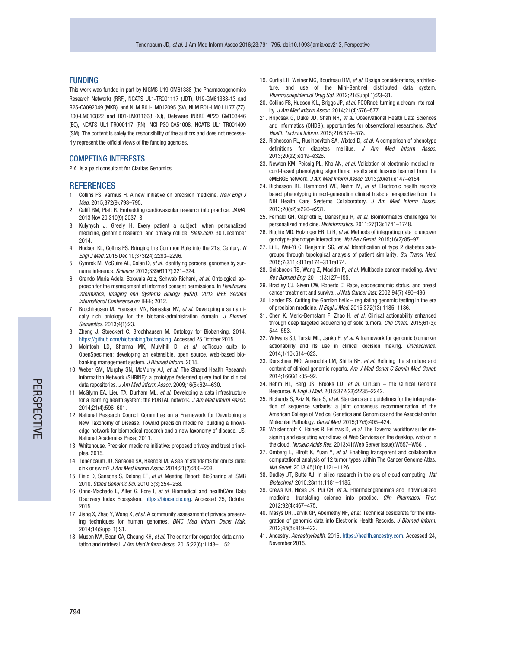## <span id="page-5-0"></span>FUNDING

This work was funded in part by NIGMS U19 GM61388 (the Pharmacogenomics Research Network) (RRF), NCATS UL1-TR001117 (JDT), U19-GM61388-13 and R25-CA092049 (MKB), and NLM R01-LM012095 (SV), NLM R01-LM011177 (ZZ), R00-LM010822 and R01-LM011663 (XJ), Delaware INBRE #P20 GM103446 (EC), NCATS UL1-TR000117 (RN), NCI P30-CA51008, NCATS UL1-TR001409 (SM). The content is solely the responsibility of the authors and does not necessarily represent the official views of the funding agencies.

## COMPETING INTERESTS

P.A. is a paid consultant for Claritas Genomics.

## REFERENCES

- 1. Collins FS, Varmus H. A new initiative on precision medicine. New Engl J Med. 2015;372(9):793–795.
- 2. Califf RM, Platt R. Embedding cardiovascular research into practice. JAMA. 2013 Nov 20;310(9):2037–8.
- 3. Kulynych J, Greely H. Every patient a subject: when personalized medicine, genomic research, and privacy collide. Slate.com. 30 December 2014.
- 4. Hudson KL, Collins FS. Bringing the Common Rule into the 21st Century. N Engl J Med. 2015 Dec 10;373(24):2293–2296.
- 5. Gymrek M, McGuire AL, Golan D, et al. Identifying personal genomes by surname inference. Science. 2013;339(6117):321–324.
- 6. Grando Maria Adela, Boxwala Aziz, Schwab Richard, et al. Ontological approach for the management of informed consent permissions. In Healthcare Informatics, Imaging and Systems Biology (HISB), 2012 IEEE Second International Conference on. IEEE; 2012.
- 7. Brochhausen M, Fransson MN, Kanaskar NV, et al. Developing a semantically rich ontology for the biobank-administration domain. J Biomed Semantics. 2013;4(1):23.
- Zheng J, Stoeckert C, Brochhausen M. Ontology for Biobanking. 2014. <https://github.com/biobanking/biobanking>. Accessed 25 October 2015.
- 9. McIntosh LD, Sharma MK, Mulvihill D, et al. caTissue suite to OpenSpecimen: developing an extensible, open source, web-based biobanking management system. J Biomed Inform. 2015.
- 10. Weber GM, Murphy SN, McMurry AJ, et al. The Shared Health Research Information Network (SHRINE): a prototype federated query tool for clinical data repositories. J Am Med Inform Assoc. 2009;16(5):624–630.
- 11. McGlynn EA, Lieu TA, Durham ML, et al. Developing a data infrastructure for a learning health system: the PORTAL network. J Am Med Inform Assoc. 2014;21(4):596–601.
- 12. National Research Council Committee on a Framework for Developing a New Taxonomy of Disease. Toward precision medicine: building a knowledge network for biomedical research and a new taxonomy of disease. US: National Academies Press; 2011.
- 13. Whitehouse. Precision medicine initiative: proposed privacy and trust principles. 2015.
- 14. Tenenbaum JD, Sansone SA, Haendel M. A sea of standards for omics data: sink or swim? J Am Med Inform Assoc. 2014;21(2):200–203.
- 15. Field D, Sansone S, Delong EF, et al. Meeting Report: BioSharing at ISMB 2010. Stand Genomic Sci. 2010;3(3):254–258.
- 16. Ohno-Machado L, Alter G, Fore I, et al. Biomedical and healthCAre Data Discovery Index Ecosystem. [https://biocaddie.org.](https://biocaddie.org) Accessed 25, October 2015.
- 17. Jiang X, Zhao Y, Wang X, et al. A community assessment of privacy preserving techniques for human genomes. BMC Med Inform Decis Mak. 2014;14(Suppl 1):S1.
- 18. Musen MA, Bean CA, Cheung KH, et al. The center for expanded data annotation and retrieval. J Am Med Inform Assoc. 2015;22(6):1148–1152.
- 19. Curtis LH, Weiner MG, Boudreau DM, et al. Design considerations, architecture, and use of the Mini-Sentinel distributed data system. Pharmacoepidemiol Drug Saf. 2012;21(Suppl 1):23–31.
- 20. Collins FS, Hudson K L, Briggs JP, et al. PCORnet: turning a dream into reality. J Am Med Inform Assoc. 2014;21(4):576–577.
- 21. Hripcsak G, Duke JD, Shah NH, et al. Observational Health Data Sciences and Informatics (OHDSI): opportunities for observational researchers. Stud Health Technol Inform. 2015;216:574–578.
- 22. Richesson RL, Rusincovitch SA, Wixted D, et al. A comparison of phenotype definitions for diabetes mellitus. J Am Med Inform Assoc. 2013;20(e2):e319–e326.
- 23. Newton KM, Peissig PL, Kho AN, et al. Validation of electronic medical record-based phenotyping algorithms: results and lessons learned from the eMERGE network. J Am Med Inform Assoc. 2013;20(e1):e147–e154.
- 24. Richesson RL, Hammond WE, Nahm M, et al. Electronic health records based phenotyping in next-generation clinical trials: a perspective from the NIH Health Care Systems Collaboratory. J Am Med Inform Assoc. 2013;20(e2):e226–e231.
- 25. Fernald GH, Capriotti E, Daneshjou R, et al. Bioinformatics challenges for personalized medicine. Bioinformatics. 2011;27(13):1741–1748.
- 26. Ritchie MD, Holzinger ER, Li R, et al. Methods of integrating data to uncover genotype-phenotype interactions. Nat Rev Genet. 2015;16(2):85–97.
- 27. Li L, Wei-Yi C, Benjamin SG, et al. Identification of type 2 diabetes subgroups through topological analysis of patient similarity. Sci Transl Med. 2015;7(311):311ra174–311ra174.
- 28. Deisboeck TS, Wang Z, Macklin P, et al. Multiscale cancer modeling. Annu Rev Biomed Eng. 2011;13:127–155.
- 29. Bradley CJ, Given CW, Roberts C. Race, socioeconomic status, and breast cancer treatment and survival. J Natl Cancer Inst. 2002;94(7):490–496.
- 30. Lander ES. Cutting the Gordian helix regulating genomic testing in the era of precision medicine. N Engl J Med. 2015;372(13):1185–1186.
- 31. Chen K, Meric-Bernstam F, Zhao H, et al. Clinical actionability enhanced through deep targeted sequencing of solid tumors. Clin Chem. 2015;61(3): 544–553.
- 32. Vidwans SJ, Turski ML, Janku F, et al. A framework for genomic biomarker actionability and its use in clinical decision making. Oncoscience. 2014;1(10):614–623.
- 33. Dorschner MO, Amendola LM, Shirts BH, et al. Refining the structure and content of clinical genomic reports. Am J Med Genet C Semin Med Genet. 2014;166C(1):85–92.
- 34. Rehm HL, Berg JS, Brooks LD, et al. ClinGen the Clinical Genome Resource. N Engl J Med. 2015;372(23):2235–2242.
- 35. Richards S, Aziz N, Bale S, et al. Standards and guidelines for the interpretation of sequence variants: a joint consensus recommendation of the American College of Medical Genetics and Genomics and the Association for Molecular Pathology. Genet Med. 2015;17(5):405–424.
- 36. Wolstencroft K, Haines R, Fellows D, et al. The Taverna workflow suite: designing and executing workflows of Web Services on the desktop, web or in the cloud. Nucleic Acids Res. 2013;41(Web Server issue):W557–W561.
- 37. Omberg L, Ellrott K, Yuan Y, et al. Enabling transparent and collaborative computational analysis of 12 tumor types within The Cancer Genome Atlas. Nat Genet. 2013;45(10):1121–1126.
- 38. Dudley JT, Butte AJ. In silico research in the era of cloud computing. Nat Biotechnol. 2010;28(11):1181–1185.
- 39. Crews KR, Hicks JK, Pui CH, et al. Pharmacogenomics and individualized medicine: translating science into practice. Clin Pharmacol Ther. 2012;92(4):467–475.
- 40. Masys DR, Jarvik GP, Abernethy NF, et al. Technical desiderata for the integration of genomic data into Electronic Health Records. J Biomed Inform. 2012;45(3):419–422.
- 41. Ancestry. AncestryHealth. 2015. <https://health.ancestry.com>. Accessed 24, November 2015.